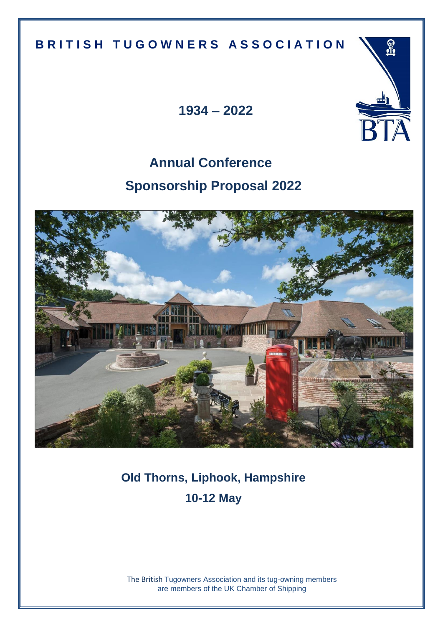## **B R I T I S H T U G O W N E R S A S S O C I A T I O N**

**1934 – 2022**

<u> P</u>

# **Annual Conference Sponsorship Proposal 2022**



**Old Thorns, Liphook, Hampshire 10-12 May**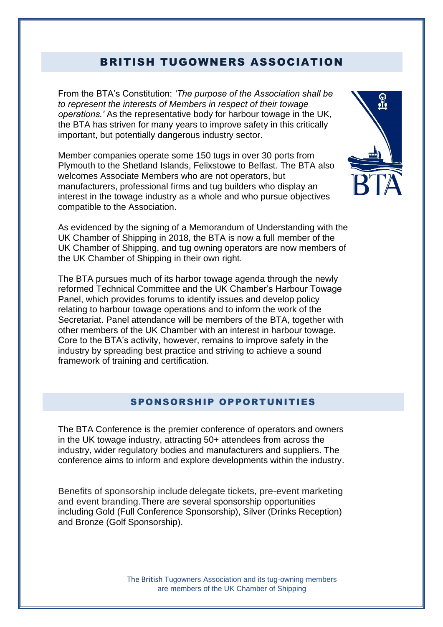## BRITISH TUGOWNERS ASSOCIATION

From the BTA's Constitution: *'The purpose of the Association shall be to represent the interests of Members in respect of their towage operations.'* As the representative body for harbour towage in the UK, the BTA has striven for many years to improve safety in this critically important, but potentially dangerous industry sector.

Member companies operate some 150 tugs in over 30 ports from Plymouth to the Shetland Islands, Felixstowe to Belfast. The BTA also welcomes Associate Members who are not operators, but manufacturers, professional firms and tug builders who display an interest in the towage industry as a whole and who pursue objectives compatible to the Association.



As evidenced by the signing of a Memorandum of Understanding with the UK Chamber of Shipping in 2018, the BTA is now a full member of the UK Chamber of Shipping, and tug owning operators are now members of the UK Chamber of Shipping in their own right.

The BTA pursues much of its harbor towage agenda through the newly reformed Technical Committee and the UK Chamber's Harbour Towage Panel, which provides forums to identify issues and develop policy relating to harbour towage operations and to inform the work of the Secretariat. Panel attendance will be members of the BTA, together with other members of the UK Chamber with an interest in harbour towage. Core to the BTA's activity, however, remains to improve safety in the industry by spreading best practice and striving to achieve a sound framework of training and certification.

#### SPONSORSHIP OPPORTUNITIES

The BTA Conference is the premier conference of operators and owners in the UK towage industry, attracting 50+ attendees from across the industry, wider regulatory bodies and manufacturers and suppliers. The conference aims to inform and explore developments within the industry.

Benefits of sponsorship include delegate tickets, pre-event marketing and event branding. There are several sponsorship opportunities including Gold (Full Conference Sponsorship), Silver (Drinks Reception) and Bronze (Golf Sponsorship).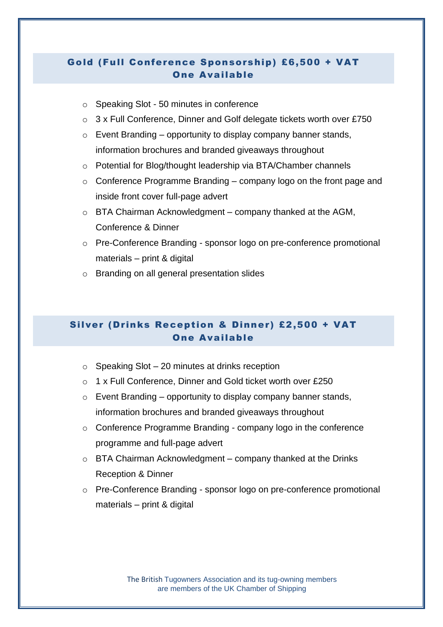## - 45 minute speaking slot at the conference One Available Gold (Full Conference Sponsorship) £6,500 + VAT

- o Speaking Slot 50 minutes in conference
- o 3 x Full Conference, Dinner and Golf delegate tickets worth over £750
- $\circ$  Event Branding opportunity to display company banner stands, information brochures and branded giveaways throughout
- o Potential for Blog/thought leadership via BTA/Chamber channels
- $\circ$  Conference Programme Branding company logo on the front page and inside front cover full-page advert
- o BTA Chairman Acknowledgment company thanked at the AGM, Conference & Dinner
- o Pre-Conference Branding sponsor logo on pre-conference promotional materials – print & digital
- o Branding on all general presentation slides

### Silver (Drinks Reception & Dinner) £2,500 + VAT One Available

- $\circ$  Speaking Slot 20 minutes at drinks reception
- o 1 x Full Conference, Dinner and Gold ticket worth over £250
- $\circ$  Event Branding opportunity to display company banner stands, information brochures and branded giveaways throughout
- o Conference Programme Branding company logo in the conference programme and full-page advert
- $\circ$  BTA Chairman Acknowledgment company thanked at the Drinks Reception & Dinner
- o Pre-Conference Branding sponsor logo on pre-conference promotional materials – print & digital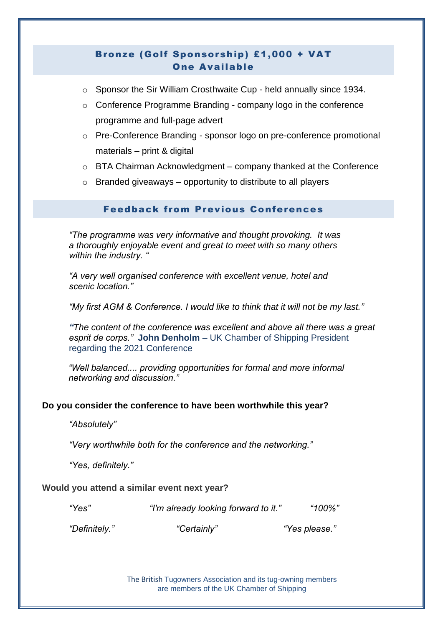## Bronze (Golf Sponsorship) £1,000 + VAT One Available

- o Sponsor the Sir William Crosthwaite Cup held annually since 1934.
- o Conference Programme Branding company logo in the conference programme and full-page advert
- o Pre-Conference Branding sponsor logo on pre-conference promotional materials – print & digital
- o BTA Chairman Acknowledgment company thanked at the Conference
- $\circ$  Branded giveaways opportunity to distribute to all players

#### Feedback from Previous Conferences

*"The programme was very informative and thought provoking. It was a thoroughly enjoyable event and great to meet with so many others within the industry. "*

*"A very well organised conference with excellent venue, hotel and scenic location."*

*"My first AGM & Conference. I would like to think that it will not be my last."*

*"The content of the conference was excellent and above all there was a great esprit de corps."* **John Denholm –** UK Chamber of Shipping President regarding the 2021 Conference

*"Well balanced.... providing opportunities for formal and more informal networking and discussion."*

#### **Do you consider the conference to have been worthwhile this year?**

*"Absolutely"*

*"Very worthwhile both for the conference and the networking."*

*"Yes, definitely."*

#### **Would you attend a similar event next year?**

*"Yes" "I'm already looking forward to it." "100%"*

*"Definitely." "Certainly" "Yes please."*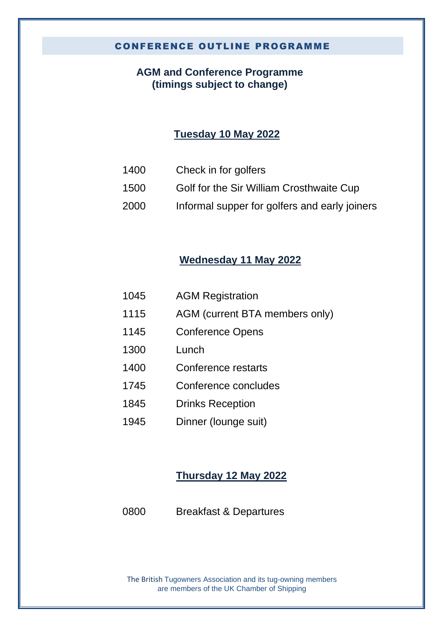#### CONFERENCE OUTLINE PROGRAMME

## **AGM and Conference Programme (timings subject to change)**

## **Tuesday 10 May 2022**

- 1400 Check in for golfers
- 1500 Golf for the Sir William Crosthwaite Cup
- 2000 Informal supper for golfers and early joiners

## **Wednesday 11 May 2022**

| 1045 | <b>AGM Registration</b>        |
|------|--------------------------------|
| 1115 | AGM (current BTA members only) |
| 1145 | <b>Conference Opens</b>        |
| 1300 | Lunch                          |
| 1400 | Conference restarts            |
| 1745 | Conference concludes           |
| 1845 | <b>Drinks Reception</b>        |
| 1945 | Dinner (lounge suit)           |

## **Thursday 12 May 2022**

0800 Breakfast & Departures